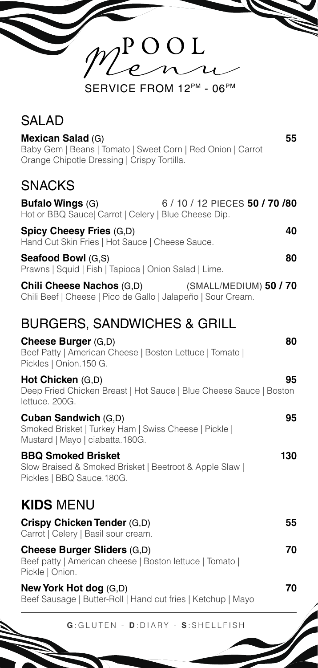| $2^{\circ}$ O O L                                                                                                               |    |
|---------------------------------------------------------------------------------------------------------------------------------|----|
| SERVICE FROM 12PM - 06PM                                                                                                        |    |
| <b>SALAD</b>                                                                                                                    |    |
| Mexican Salad (G)<br>Baby Gem   Beans   Tomato   Sweet Corn   Red Onion   Carrot<br>Orange Chipotle Dressing   Crispy Tortilla. | 55 |
| <b>SNACKS</b><br>                                                                                                               |    |

| <b>Bufalo Wings (G)</b>                                                            | 6 / 10 / 12 PIECES 50 / 70 /80 |
|------------------------------------------------------------------------------------|--------------------------------|
| Hot or BBQ Sauce  Carrot   Celery   Blue Cheese Dip.                               |                                |
| <b>Spicy Cheesy Fries (G,D)</b><br>Hand Cut Skin Fries   Hot Sauce   Cheese Sauce. | 40                             |
| <b>Seafood Bowl (G.S)</b><br>Prawns   Squid   Fish   Tapioca   Onion Salad   Lime. | 80                             |

**Chili Cheese Nachos** (G,D) (SMALL/MEDIUM) **50 / 70** Chili Beef | Cheese | Pico de Gallo | Jalapeño | Sour Cream.

## BURGERS, SANDWICHES & GRILL

**Cheese Burger** (G,D) **80** Beef Patty | American Cheese | Boston Lettuce | Tomato | Pickles | Onion.150 G.

**Hot Chicken** (G,D) **95** Deep Fried Chicken Breast | Hot Sauce | Blue Cheese Sauce | Boston lettuce. 200G.

**Cuban Sandwich** (G,D) **95** Smoked Brisket | Turkey Ham | Swiss Cheese | Pickle | Mustard | Mayo | ciabatta.180G.

**BBQ Smoked Brisket 130** Slow Braised & Smoked Brisket | Beetroot & Apple Slaw | Pickles | BBQ Sauce.180G.

## **KIDS** MENU

| Crispy Chicken Tender (G,D)<br>Carrot   Celery   Basil sour cream.                                                | 55 |
|-------------------------------------------------------------------------------------------------------------------|----|
| <b>Cheese Burger Sliders (G,D)</b><br>Beef patty   American cheese   Boston lettuce   Tomato  <br>Pickle   Onion. | 70 |
| Now York Hot dog $(CD)$                                                                                           |    |

**new York (G,D)**  $\alpha$ Beef Sausage | Butter-Roll | Hand cut fries | Ketchup | Mayo

**G** :GLUTEN - **D** :DIARY - **S** :SHELLFISH